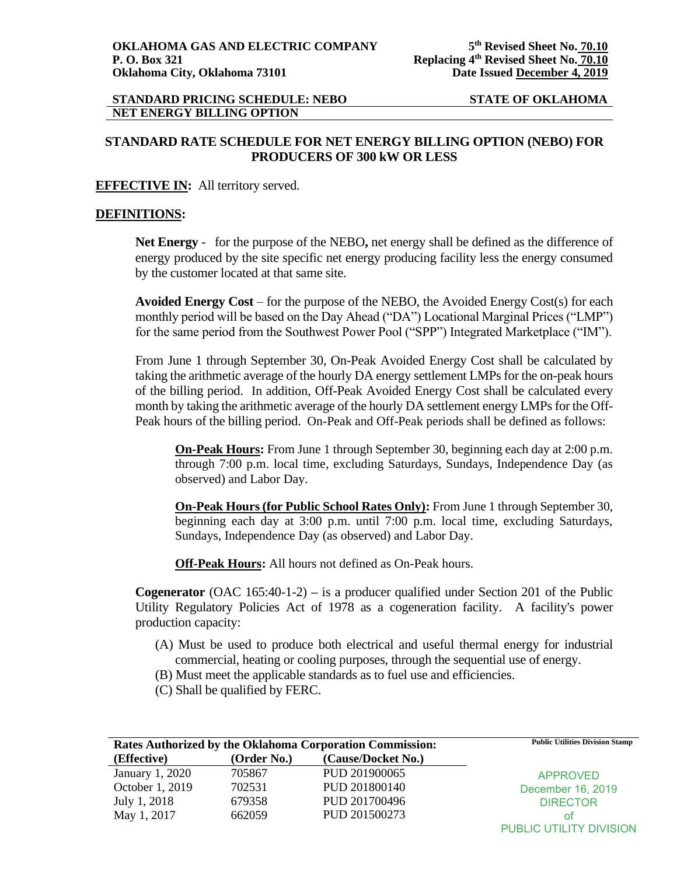# **STANDARD RATE SCHEDULE FOR NET ENERGY BILLING OPTION (NEBO) FOR PRODUCERS OF 300 kW OR LESS**

## **EFFECTIVE IN:** All territory served.

## **DEFINITIONS:**

**Net Energy** - for the purpose of the NEBO**,** net energy shall be defined as the difference of energy produced by the site specific net energy producing facility less the energy consumed by the customer located at that same site.

**Avoided Energy Cost** – for the purpose of the NEBO, the Avoided Energy Cost(s) for each monthly period will be based on the Day Ahead ("DA") Locational Marginal Prices ("LMP") for the same period from the Southwest Power Pool ("SPP") Integrated Marketplace ("IM").

From June 1 through September 30, On-Peak Avoided Energy Cost shall be calculated by taking the arithmetic average of the hourly DA energy settlement LMPs for the on-peak hours of the billing period. In addition, Off-Peak Avoided Energy Cost shall be calculated every month by taking the arithmetic average of the hourly DA settlement energy LMPs for the Off-Peak hours of the billing period. On-Peak and Off-Peak periods shall be defined as follows:

**On-Peak Hours:** From June 1 through September 30, beginning each day at 2:00 p.m. through 7:00 p.m. local time, excluding Saturdays, Sundays, Independence Day (as observed) and Labor Day.

**On-Peak Hours (for Public School Rates Only):** From June 1 through September 30, beginning each day at 3:00 p.m. until 7:00 p.m. local time, excluding Saturdays, Sundays, Independence Day (as observed) and Labor Day.

**Off-Peak Hours:** All hours not defined as On-Peak hours.

**Cogenerator** (OAC 165:40-1-2) **–** is a producer qualified under Section 201 of the Public Utility Regulatory Policies Act of 1978 as a cogeneration facility. A facility's power production capacity:

- (A) Must be used to produce both electrical and useful thermal energy for industrial commercial, heating or cooling purposes, through the sequential use of energy.
- (B) Must meet the applicable standards as to fuel use and efficiencies.
- (C) Shall be qualified by FERC.

| Rates Authorized by the Oklahoma Corporation Commission: |             | <b>Public Utilities Division Stamp</b> |                         |
|----------------------------------------------------------|-------------|----------------------------------------|-------------------------|
| (Effective)                                              | (Order No.) | (Cause/Docket No.)                     |                         |
| January 1, 2020                                          | 705867      | PUD 201900065                          | <b>APPROVED</b>         |
| October 1, 2019                                          | 702531      | PUD 201800140                          | December 16, 2019       |
| July 1, 2018                                             | 679358      | PUD 201700496                          | <b>DIRECTOR</b>         |
| May 1, 2017                                              | 662059      | PUD 201500273                          | ΩŤ                      |
|                                                          |             |                                        | PUBLIC UTILITY DIVISION |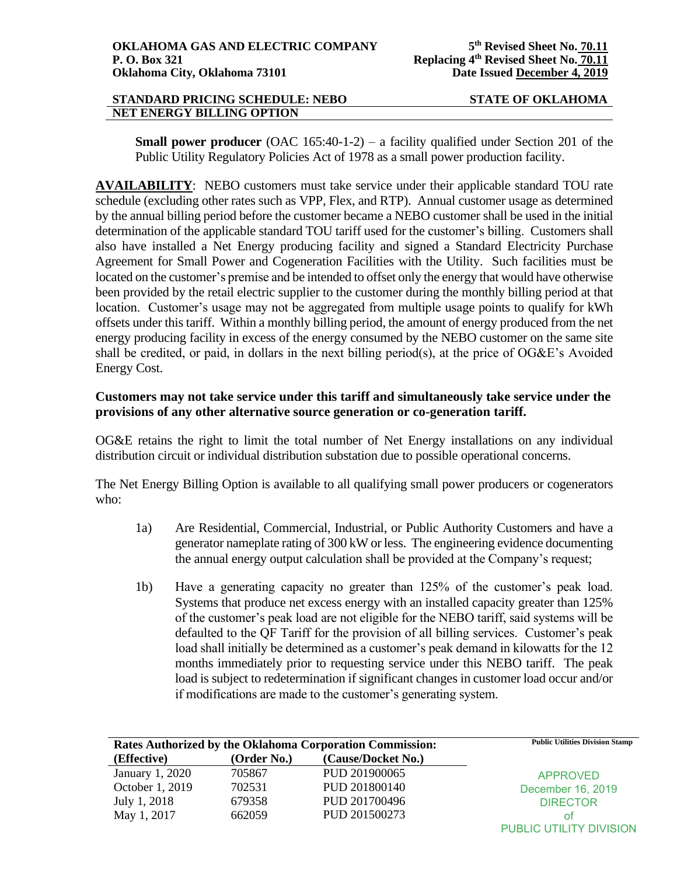**Small power producer** (OAC 165:40-1-2) – a facility qualified under Section 201 of the Public Utility Regulatory Policies Act of 1978 as a small power production facility.

**AVAILABILITY**: NEBO customers must take service under their applicable standard TOU rate schedule (excluding other rates such as VPP, Flex, and RTP). Annual customer usage as determined by the annual billing period before the customer became a NEBO customer shall be used in the initial determination of the applicable standard TOU tariff used for the customer's billing. Customers shall also have installed a Net Energy producing facility and signed a Standard Electricity Purchase Agreement for Small Power and Cogeneration Facilities with the Utility. Such facilities must be located on the customer's premise and be intended to offset only the energy that would have otherwise been provided by the retail electric supplier to the customer during the monthly billing period at that location. Customer's usage may not be aggregated from multiple usage points to qualify for kWh offsets under this tariff. Within a monthly billing period, the amount of energy produced from the net energy producing facility in excess of the energy consumed by the NEBO customer on the same site shall be credited, or paid, in dollars in the next billing period(s), at the price of OG&E's Avoided Energy Cost.

# **Customers may not take service under this tariff and simultaneously take service under the provisions of any other alternative source generation or co-generation tariff.**

OG&E retains the right to limit the total number of Net Energy installations on any individual distribution circuit or individual distribution substation due to possible operational concerns.

The Net Energy Billing Option is available to all qualifying small power producers or cogenerators who:

- 1a) Are Residential, Commercial, Industrial, or Public Authority Customers and have a generator nameplate rating of 300 kW or less. The engineering evidence documenting the annual energy output calculation shall be provided at the Company's request;
- 1b) Have a generating capacity no greater than 125% of the customer's peak load. Systems that produce net excess energy with an installed capacity greater than 125% of the customer's peak load are not eligible for the NEBO tariff, said systems will be defaulted to the QF Tariff for the provision of all billing services. Customer's peak load shall initially be determined as a customer's peak demand in kilowatts for the 12 months immediately prior to requesting service under this NEBO tariff. The peak load is subject to redetermination if significant changes in customer load occur and/or if modifications are made to the customer's generating system.

| Rates Authorized by the Oklahoma Corporation Commission: |             | <b>Public Utilities Division Stamp</b> |                         |
|----------------------------------------------------------|-------------|----------------------------------------|-------------------------|
| (Effective)                                              | (Order No.) | (Cause/Docket No.)                     |                         |
| January 1, 2020                                          | 705867      | PUD 201900065                          | <b>APPROVED</b>         |
| October 1, 2019                                          | 702531      | PUD 201800140                          | December 16, 2019       |
| July 1, 2018                                             | 679358      | PUD 201700496                          | <b>DIRECTOR</b>         |
| May 1, 2017                                              | 662059      | PUD 201500273                          | ΩŤ                      |
|                                                          |             |                                        | PUBLIC UTILITY DIVISION |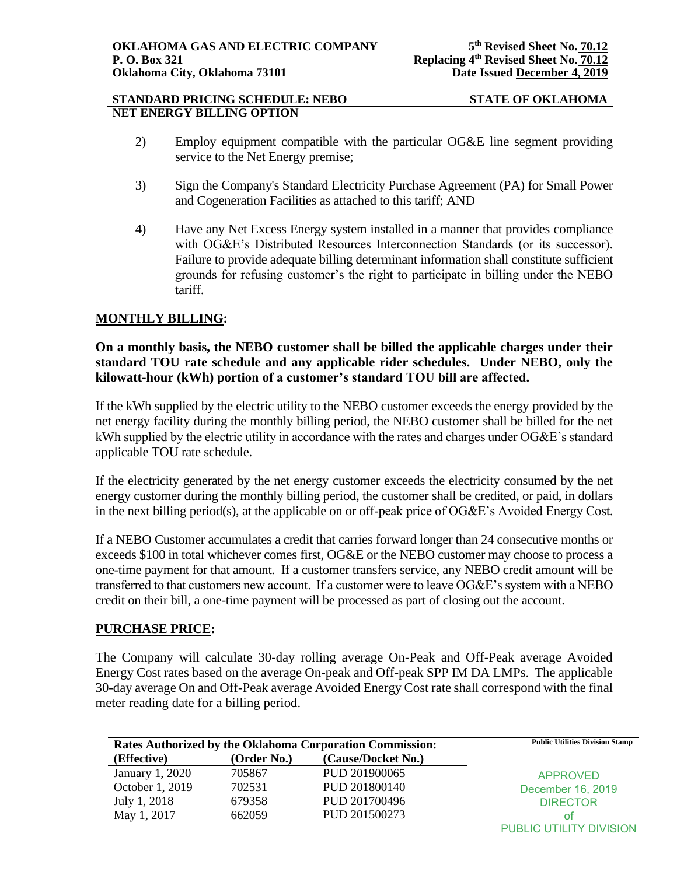- 2) Employ equipment compatible with the particular OG&E line segment providing service to the Net Energy premise;
- 3) Sign the Company's Standard Electricity Purchase Agreement (PA) for Small Power and Cogeneration Facilities as attached to this tariff; AND
- 4) Have any Net Excess Energy system installed in a manner that provides compliance with OG&E's Distributed Resources Interconnection Standards (or its successor). Failure to provide adequate billing determinant information shall constitute sufficient grounds for refusing customer's the right to participate in billing under the NEBO tariff.

# **MONTHLY BILLING:**

## **On a monthly basis, the NEBO customer shall be billed the applicable charges under their standard TOU rate schedule and any applicable rider schedules. Under NEBO, only the kilowatt-hour (kWh) portion of a customer's standard TOU bill are affected.**

If the kWh supplied by the electric utility to the NEBO customer exceeds the energy provided by the net energy facility during the monthly billing period, the NEBO customer shall be billed for the net kWh supplied by the electric utility in accordance with the rates and charges under OG&E's standard applicable TOU rate schedule.

If the electricity generated by the net energy customer exceeds the electricity consumed by the net energy customer during the monthly billing period, the customer shall be credited, or paid, in dollars in the next billing period(s), at the applicable on or off-peak price of OG&E's Avoided Energy Cost.

If a NEBO Customer accumulates a credit that carries forward longer than 24 consecutive months or exceeds \$100 in total whichever comes first, OG&E or the NEBO customer may choose to process a one-time payment for that amount. If a customer transfers service, any NEBO credit amount will be transferred to that customers new account. If a customer were to leave OG&E's system with a NEBO credit on their bill, a one-time payment will be processed as part of closing out the account.

## **PURCHASE PRICE:**

The Company will calculate 30-day rolling average On-Peak and Off-Peak average Avoided Energy Cost rates based on the average On-peak and Off-peak SPP IM DA LMPs. The applicable 30-day average On and Off-Peak average Avoided Energy Cost rate shall correspond with the final meter reading date for a billing period.

| <b>Rates Authorized by the Oklahoma Corporation Commission:</b> |             | <b>Public Utilities Division Stamp</b> |                         |
|-----------------------------------------------------------------|-------------|----------------------------------------|-------------------------|
| (Effective)                                                     | (Order No.) | (Cause/Docket No.)                     |                         |
| January 1, 2020                                                 | 705867      | PUD 201900065                          | <b>APPROVED</b>         |
| October 1, 2019                                                 | 702531      | PUD 201800140                          | December 16, 2019       |
| July 1, 2018                                                    | 679358      | PUD 201700496                          | <b>DIRECTOR</b>         |
| May 1, 2017                                                     | 662059      | PUD 201500273                          | οt                      |
|                                                                 |             |                                        | PUBLIC UTILITY DIVISION |